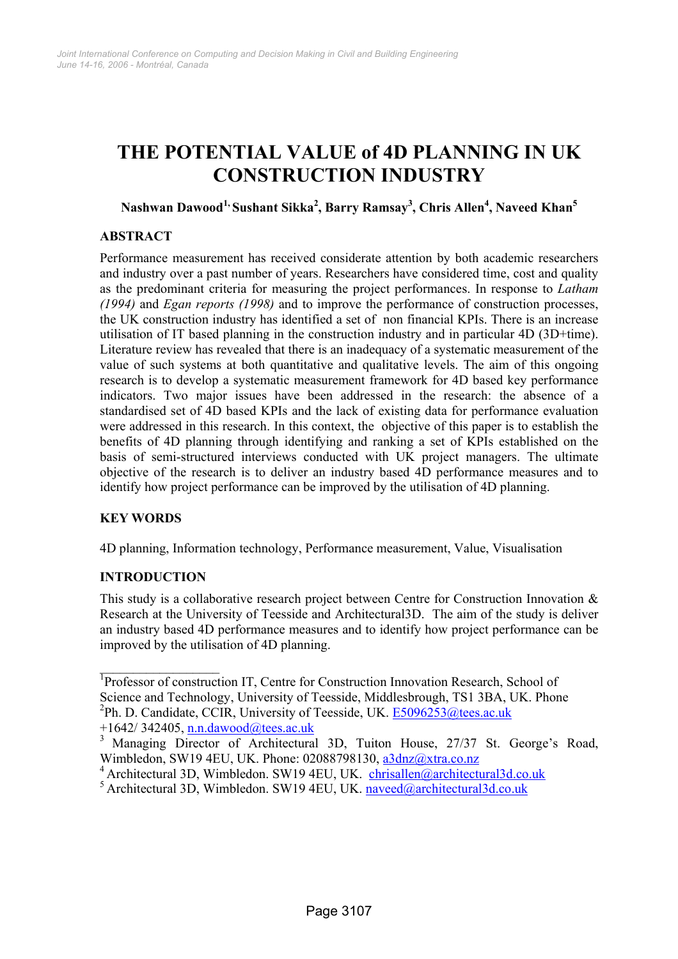# **THE POTENTIAL VALUE of 4D PLANNING IN UK CONSTRUCTION INDUSTRY**

# $N$ ashwan Dawood $^{1}$ , Sushant Sikka $^{2}$ , Barry Ramsay $^{3}$ , Chris Allen $^{4}$ , Naveed Khan $^{5}$

# **ABSTRACT**

Performance measurement has received considerate attention by both academic researchers and industry over a past number of years. Researchers have considered time, cost and quality as the predominant criteria for measuring the project performances. In response to *Latham (1994)* and *Egan reports (1998)* and to improve the performance of construction processes, the UK construction industry has identified a set of non financial KPIs. There is an increase utilisation of IT based planning in the construction industry and in particular 4D (3D+time). Literature review has revealed that there is an inadequacy of a systematic measurement of the value of such systems at both quantitative and qualitative levels. The aim of this ongoing research is to develop a systematic measurement framework for 4D based key performance indicators. Two major issues have been addressed in the research: the absence of a standardised set of 4D based KPIs and the lack of existing data for performance evaluation were addressed in this research. In this context, the objective of this paper is to establish the benefits of 4D planning through identifying and ranking a set of KPIs established on the basis of semi-structured interviews conducted with UK project managers. The ultimate objective of the research is to deliver an industry based 4D performance measures and to identify how project performance can be improved by the utilisation of 4D planning.

# **KEY WORDS**

4D planning, Information technology, Performance measurement, Value, Visualisation

# **INTRODUCTION**

 $\mathcal{L}_\text{max}$ 

This study is a collaborative research project between Centre for Construction Innovation & Research at the University of Teesside and Architectural3D. The aim of the study is deliver an industry based 4D performance measures and to identify how project performance can be improved by the utilisation of 4D planning.

<sup>&</sup>lt;sup>1</sup>Professor of construction IT, Centre for Construction Innovation Research, School of Science and Technology, University of Teesside, Middlesbrough, TS1 3BA, UK. Phone <sup>2</sup>Ph. D. Candidate, CCIR, University of Teesside, UK. **E5096253@tees.ac.uk** 

 $+1642/342405$ , n.n.dawood@tees.ac.uk

<sup>&</sup>lt;sup>3</sup> Managing Director of Architectural 3D, Tuiton House, 27/37 St. George's Road, Wimbledon, SW19 4EU, UK. Phone: 02088798130, a3dnz@xtra.co.nz

<sup>&</sup>lt;sup>4</sup> Architectural 3D, Wimbledon. SW19 4EU, UK. chrisallen@architectural3d.co.uk

<sup>&</sup>lt;sup>5</sup> Architectural 3D, Wimbledon. SW19 4EU, UK. naveed@architectural3d.co.uk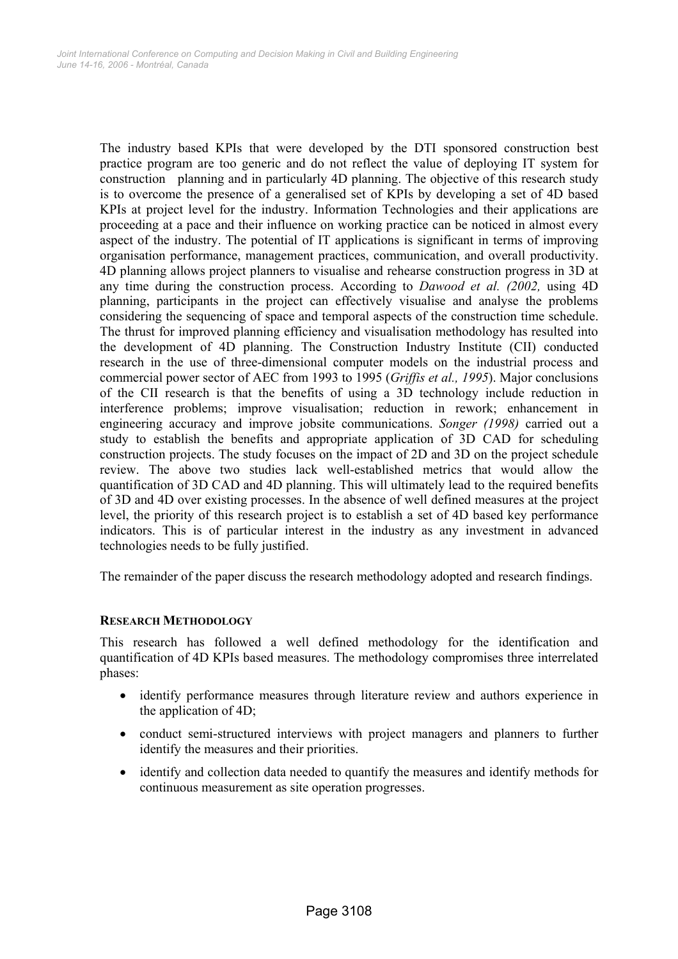The industry based KPIs that were developed by the DTI sponsored construction best practice program are too generic and do not reflect the value of deploying IT system for construction planning and in particularly 4D planning. The objective of this research study is to overcome the presence of a generalised set of KPIs by developing a set of 4D based KPIs at project level for the industry. Information Technologies and their applications are proceeding at a pace and their influence on working practice can be noticed in almost every aspect of the industry. The potential of IT applications is significant in terms of improving organisation performance, management practices, communication, and overall productivity. 4D planning allows project planners to visualise and rehearse construction progress in 3D at any time during the construction process. According to *Dawood et al. (2002,* using 4D planning, participants in the project can effectively visualise and analyse the problems considering the sequencing of space and temporal aspects of the construction time schedule. The thrust for improved planning efficiency and visualisation methodology has resulted into the development of 4D planning. The Construction Industry Institute (CII) conducted research in the use of three-dimensional computer models on the industrial process and commercial power sector of AEC from 1993 to 1995 (*Griffis et al., 1995*). Major conclusions of the CII research is that the benefits of using a 3D technology include reduction in interference problems; improve visualisation; reduction in rework; enhancement in engineering accuracy and improve jobsite communications. *Songer (1998)* carried out a study to establish the benefits and appropriate application of 3D CAD for scheduling construction projects. The study focuses on the impact of 2D and 3D on the project schedule review. The above two studies lack well-established metrics that would allow the quantification of 3D CAD and 4D planning. This will ultimately lead to the required benefits of 3D and 4D over existing processes. In the absence of well defined measures at the project level, the priority of this research project is to establish a set of 4D based key performance indicators. This is of particular interest in the industry as any investment in advanced technologies needs to be fully justified.

The remainder of the paper discuss the research methodology adopted and research findings.

### **RESEARCH METHODOLOGY**

This research has followed a well defined methodology for the identification and quantification of 4D KPIs based measures. The methodology compromises three interrelated phases:

- identify performance measures through literature review and authors experience in the application of 4D;
- conduct semi-structured interviews with project managers and planners to further identify the measures and their priorities.
- identify and collection data needed to quantify the measures and identify methods for continuous measurement as site operation progresses.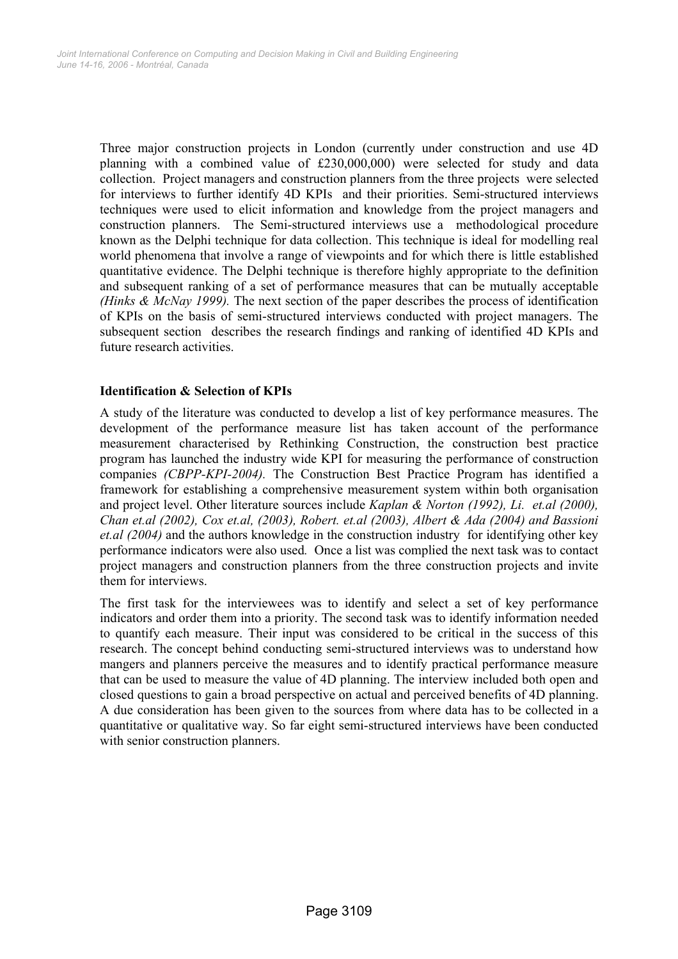Three major construction projects in London (currently under construction and use 4D planning with a combined value of £230,000,000) were selected for study and data collection. Project managers and construction planners from the three projects were selected for interviews to further identify 4D KPIs and their priorities. Semi-structured interviews techniques were used to elicit information and knowledge from the project managers and construction planners. The Semi-structured interviews use a methodological procedure known as the Delphi technique for data collection. This technique is ideal for modelling real world phenomena that involve a range of viewpoints and for which there is little established quantitative evidence. The Delphi technique is therefore highly appropriate to the definition and subsequent ranking of a set of performance measures that can be mutually acceptable *(Hinks & McNay 1999).* The next section of the paper describes the process of identification of KPIs on the basis of semi-structured interviews conducted with project managers. The subsequent section describes the research findings and ranking of identified 4D KPIs and future research activities.

## **Identification & Selection of KPIs**

A study of the literature was conducted to develop a list of key performance measures. The development of the performance measure list has taken account of the performance measurement characterised by Rethinking Construction, the construction best practice program has launched the industry wide KPI for measuring the performance of construction companies *(CBPP-KPI-2004).* The Construction Best Practice Program has identified a framework for establishing a comprehensive measurement system within both organisation and project level. Other literature sources include *Kaplan & Norton (1992), Li. et.al (2000), Chan et.al (2002), Cox et.al, (2003), Robert. et.al (2003), Albert & Ada (2004) and Bassioni et.al (2004)* and the authors knowledge in the construction industryfor identifying other key performance indicators were also used*.* Once a list was complied the next task was to contact project managers and construction planners from the three construction projects and invite them for interviews.

The first task for the interviewees was to identify and select a set of key performance indicators and order them into a priority. The second task was to identify information needed to quantify each measure. Their input was considered to be critical in the success of this research. The concept behind conducting semi-structured interviews was to understand how mangers and planners perceive the measures and to identify practical performance measure that can be used to measure the value of 4D planning. The interview included both open and closed questions to gain a broad perspective on actual and perceived benefits of 4D planning. A due consideration has been given to the sources from where data has to be collected in a quantitative or qualitative way. So far eight semi-structured interviews have been conducted with senior construction planners.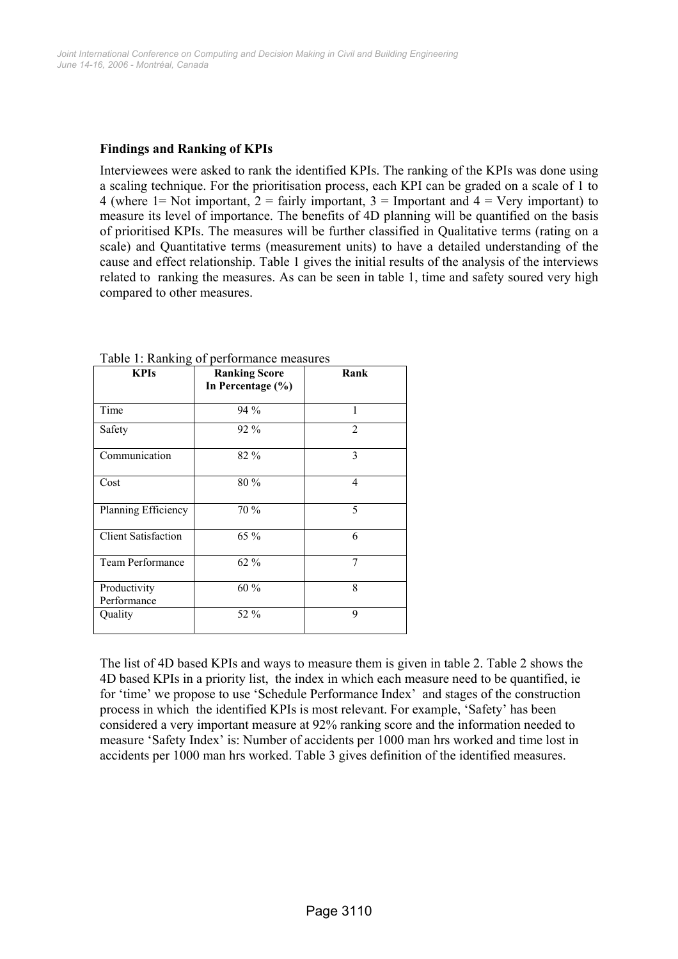## **Findings and Ranking of KPIs**

Interviewees were asked to rank the identified KPIs. The ranking of the KPIs was done using a scaling technique. For the prioritisation process, each KPI can be graded on a scale of 1 to 4 (where 1= Not important,  $2 =$  fairly important,  $3 =$  Important and  $4 =$  Very important) to measure its level of importance. The benefits of 4D planning will be quantified on the basis of prioritised KPIs. The measures will be further classified in Qualitative terms (rating on a scale) and Quantitative terms (measurement units) to have a detailed understanding of the cause and effect relationship. Table 1 gives the initial results of the analysis of the interviews related to ranking the measures. As can be seen in table 1, time and safety soured very high compared to other measures.

| <b>KPIs</b>                 | <b>Ranking Score</b><br>In Percentage (%) | Rank           |
|-----------------------------|-------------------------------------------|----------------|
| Time                        | $94\%$                                    | 1              |
| Safety                      | $92\%$                                    | $\mathfrak{D}$ |
| Communication               | 82 %                                      | 3              |
| Cost                        | 80 %                                      | $\overline{4}$ |
| Planning Efficiency         | 70 %                                      | 5              |
| <b>Client Satisfaction</b>  | 65 %                                      | 6              |
| <b>Team Performance</b>     | $62\%$                                    | 7              |
| Productivity<br>Performance | $60\%$                                    | 8              |
| Quality                     | 52 %                                      | 9              |

Table 1: Ranking of performance measures

The list of 4D based KPIs and ways to measure them is given in table 2. Table 2 shows the 4D based KPIs in a priority list, the index in which each measure need to be quantified, ie for 'time' we propose to use 'Schedule Performance Index' and stages of the construction process in which the identified KPIs is most relevant. For example, 'Safety' has been considered a very important measure at 92% ranking score and the information needed to measure 'Safety Index' is: Number of accidents per 1000 man hrs worked and time lost in accidents per 1000 man hrs worked. Table 3 gives definition of the identified measures.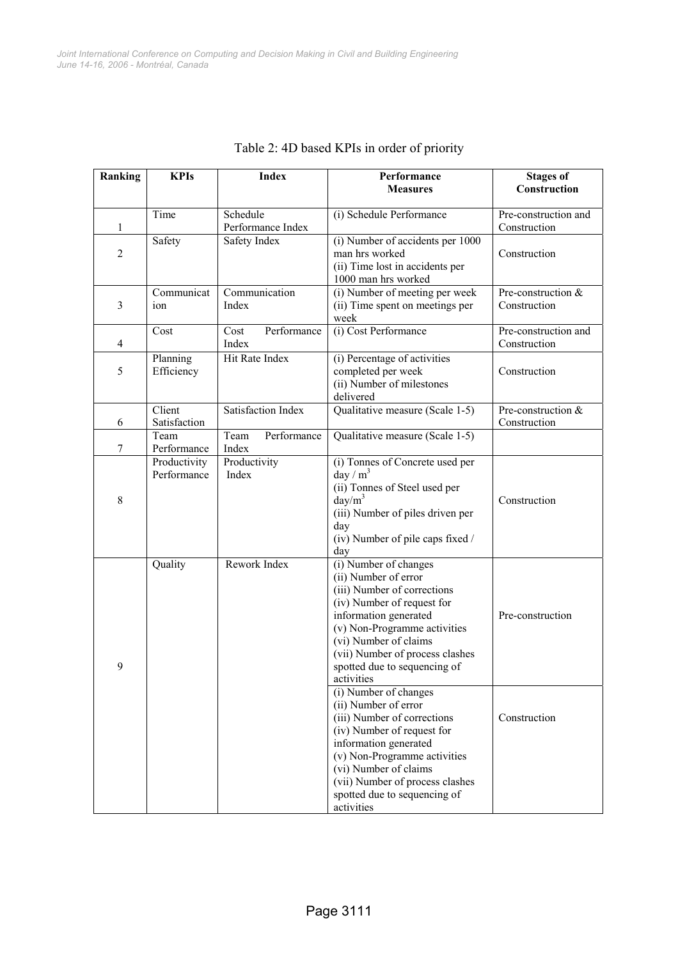| Ranking        | <b>KPIs</b>  | <b>Index</b>        | Performance                                            | <b>Stages of</b>     |
|----------------|--------------|---------------------|--------------------------------------------------------|----------------------|
|                |              |                     | <b>Measures</b>                                        | Construction         |
|                | Time         | Schedule            | (i) Schedule Performance                               | Pre-construction and |
| 1              |              | Performance Index   |                                                        | Construction         |
|                | Safety       | Safety Index        | (i) Number of accidents per 1000                       |                      |
| $\overline{c}$ |              |                     | man hrs worked                                         | Construction         |
|                |              |                     | (ii) Time lost in accidents per<br>1000 man hrs worked |                      |
|                | Communicat   | Communication       | (i) Number of meeting per week                         | Pre-construction &   |
| 3              | ion          | Index               | (ii) Time spent on meetings per                        | Construction         |
|                |              |                     | week                                                   |                      |
|                | Cost         | Performance<br>Cost | (i) Cost Performance                                   | Pre-construction and |
| $\overline{4}$ |              | Index               |                                                        | Construction         |
|                | Planning     | Hit Rate Index      | (i) Percentage of activities                           |                      |
| 5              | Efficiency   |                     | completed per week                                     | Construction         |
|                |              |                     | (ii) Number of milestones<br>delivered                 |                      |
|                | Client       | Satisfaction Index  | Qualitative measure (Scale 1-5)                        | Pre-construction &   |
| 6              | Satisfaction |                     |                                                        | Construction         |
|                | Team         | Team<br>Performance | Qualitative measure (Scale 1-5)                        |                      |
| 7              | Performance  | Index               |                                                        |                      |
|                | Productivity | Productivity        | (i) Tonnes of Concrete used per                        |                      |
|                | Performance  | Index               | day / $m3$                                             |                      |
| 8              |              |                     | (ii) Tonnes of Steel used per<br>$day/m^3$             | Construction         |
|                |              |                     | (iii) Number of piles driven per                       |                      |
|                |              |                     | day                                                    |                      |
|                |              |                     | (iv) Number of pile caps fixed /                       |                      |
|                |              |                     | day                                                    |                      |
|                | Quality      | Rework Index        | (i) Number of changes                                  |                      |
|                |              |                     | (ii) Number of error                                   |                      |
|                |              |                     | (iii) Number of corrections                            |                      |
|                |              |                     | (iv) Number of request for<br>information generated    | Pre-construction     |
|                |              |                     | (v) Non-Programme activities                           |                      |
|                |              |                     | (vi) Number of claims                                  |                      |
|                |              |                     | (vii) Number of process clashes                        |                      |
| 9              |              |                     | spotted due to sequencing of                           |                      |
|                |              |                     | activities                                             |                      |
|                |              |                     | (i) Number of changes                                  |                      |
|                |              |                     | (ii) Number of error<br>(iii) Number of corrections    | Construction         |
|                |              |                     | (iv) Number of request for                             |                      |
|                |              |                     | information generated                                  |                      |
|                |              |                     | (v) Non-Programme activities                           |                      |
|                |              |                     | (vi) Number of claims                                  |                      |
|                |              |                     | (vii) Number of process clashes                        |                      |
|                |              |                     | spotted due to sequencing of                           |                      |
|                |              |                     | activities                                             |                      |

# Table 2: 4D based KPIs in order of priority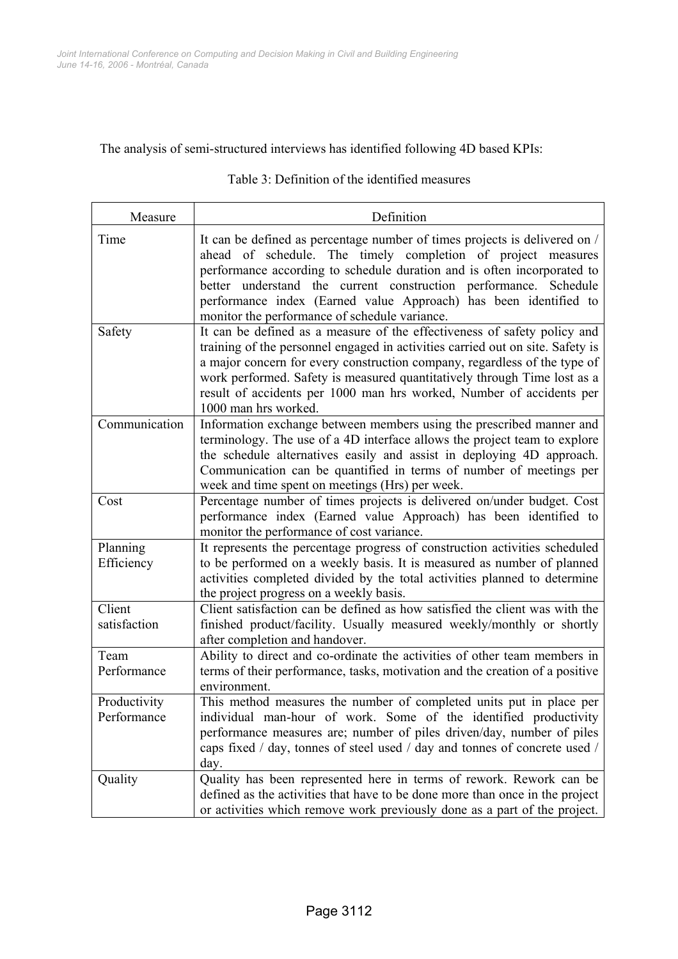### The analysis of semi-structured interviews has identified following 4D based KPIs:

#### Measure **Definition** Time It can be defined as percentage number of times projects is delivered on / ahead of schedule. The timely completion of project measures performance according to schedule duration and is often incorporated to better understand the current construction performance. Schedule performance index (Earned value Approach) has been identified to monitor the performance of schedule variance. Safety It can be defined as a measure of the effectiveness of safety policy and training of the personnel engaged in activities carried out on site. Safety is a major concern for every construction company, regardless of the type of work performed. Safety is measured quantitatively through Time lost as a result of accidents per 1000 man hrs worked, Number of accidents per 1000 man hrs worked. Communication Information exchange between members using the prescribed manner and terminology. The use of a 4D interface allows the project team to explore the schedule alternatives easily and assist in deploying 4D approach. Communication can be quantified in terms of number of meetings per week and time spent on meetings (Hrs) per week. Cost Percentage number of times projects is delivered on/under budget. Cost performance index (Earned value Approach) has been identified to monitor the performance of cost variance. Planning Efficiency It represents the percentage progress of construction activities scheduled to be performed on a weekly basis. It is measured as number of planned activities completed divided by the total activities planned to determine the project progress on a weekly basis. Client satisfaction Client satisfaction can be defined as how satisfied the client was with the finished product/facility. Usually measured weekly/monthly or shortly after completion and handover. Team Performance Ability to direct and co-ordinate the activities of other team members in terms of their performance, tasks, motivation and the creation of a positive environment. Productivity Performance This method measures the number of completed units put in place per individual man-hour of work. Some of the identified productivity performance measures are; number of piles driven/day, number of piles caps fixed / day, tonnes of steel used / day and tonnes of concrete used / day. Quality Quality has been represented here in terms of rework. Rework can be defined as the activities that have to be done more than once in the project

### Table 3: Definition of the identified measures

or activities which remove work previously done as a part of the project.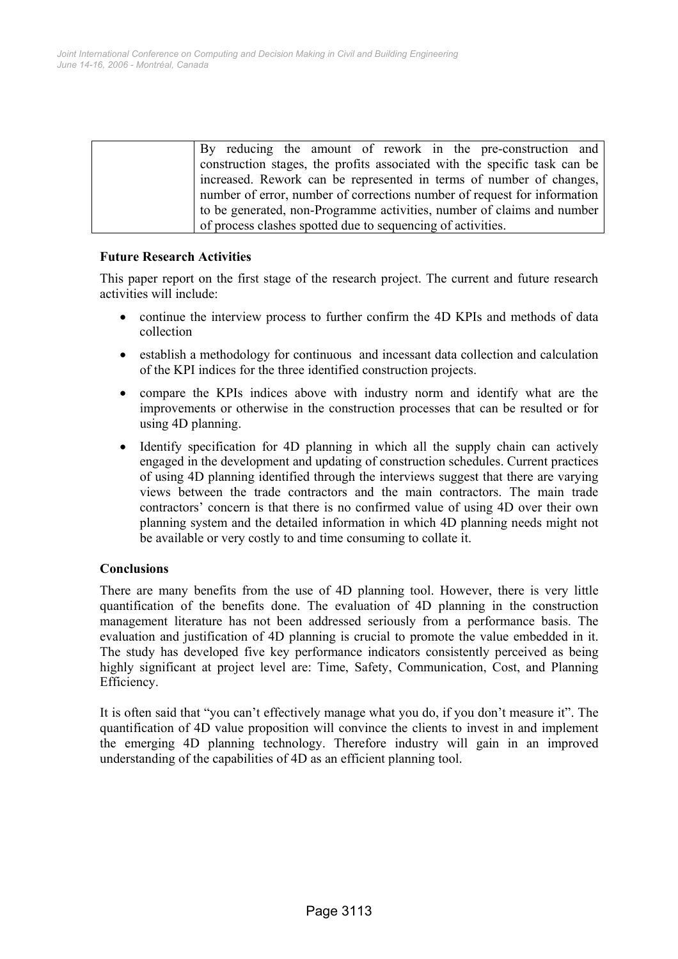| By reducing the amount of rework in the pre-construction and              |  |
|---------------------------------------------------------------------------|--|
| construction stages, the profits associated with the specific task can be |  |
| increased. Rework can be represented in terms of number of changes,       |  |
| number of error, number of corrections number of request for information  |  |
| to be generated, non-Programme activities, number of claims and number    |  |
| of process clashes spotted due to sequencing of activities.               |  |

### **Future Research Activities**

This paper report on the first stage of the research project. The current and future research activities will include:

- continue the interview process to further confirm the 4D KPIs and methods of data collection
- establish a methodology for continuous and incessant data collection and calculation of the KPI indices for the three identified construction projects.
- compare the KPIs indices above with industry norm and identify what are the improvements or otherwise in the construction processes that can be resulted or for using 4D planning.
- Identify specification for 4D planning in which all the supply chain can actively engaged in the development and updating of construction schedules. Current practices of using 4D planning identified through the interviews suggest that there are varying views between the trade contractors and the main contractors. The main trade contractors' concern is that there is no confirmed value of using 4D over their own planning system and the detailed information in which 4D planning needs might not be available or very costly to and time consuming to collate it.

### **Conclusions**

There are many benefits from the use of 4D planning tool. However, there is very little quantification of the benefits done. The evaluation of 4D planning in the construction management literature has not been addressed seriously from a performance basis. The evaluation and justification of 4D planning is crucial to promote the value embedded in it. The study has developed five key performance indicators consistently perceived as being highly significant at project level are: Time, Safety, Communication, Cost, and Planning Efficiency.

It is often said that "you can't effectively manage what you do, if you don't measure it". The quantification of 4D value proposition will convince the clients to invest in and implement the emerging 4D planning technology. Therefore industry will gain in an improved understanding of the capabilities of 4D as an efficient planning tool.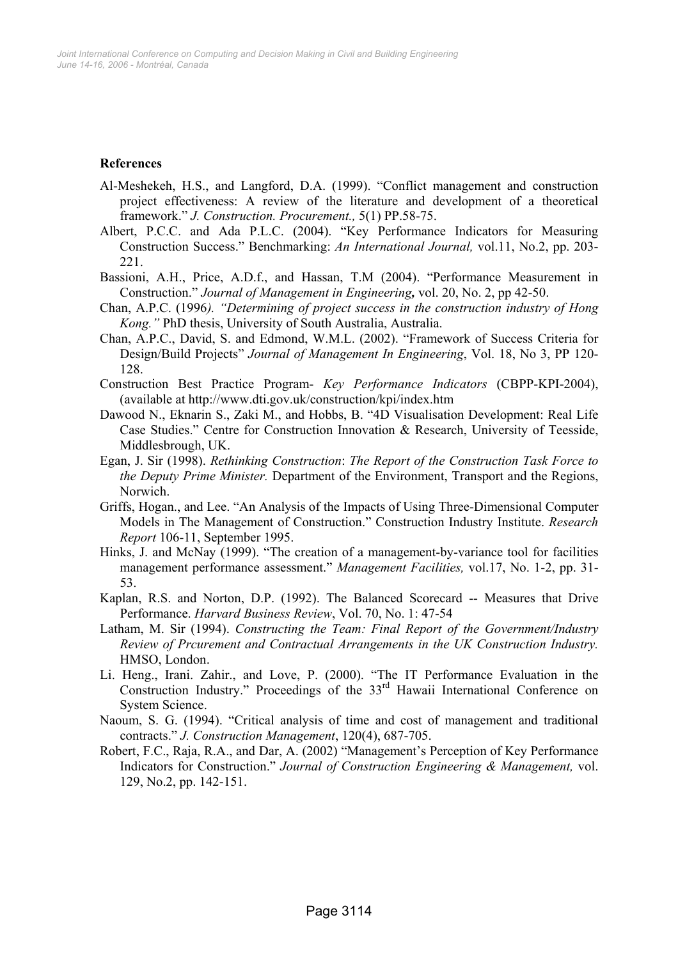# **References**

- Al-Meshekeh, H.S., and Langford, D.A. (1999). "Conflict management and construction project effectiveness: A review of the literature and development of a theoretical framework." *J. Construction. Procurement.,* 5(1) PP.58-75.
- Albert, P.C.C. and Ada P.L.C. (2004). "Key Performance Indicators for Measuring Construction Success." Benchmarking: *An International Journal,* vol.11, No.2, pp. 203- 221.
- Bassioni, A.H., Price, A.D.f., and Hassan, T.M (2004). "Performance Measurement in Construction." *Journal of Management in Engineering,* vol. 20, No. 2, pp 42-50.
- Chan, A.P.C. (1996*). "Determining of project success in the construction industry of Hong Kong."* PhD thesis, University of South Australia, Australia.
- Chan, A.P.C., David, S. and Edmond, W.M.L. (2002). "Framework of Success Criteria for Design/Build Projects" *Journal of Management In Engineering*, Vol. 18, No 3, PP 120- 128.
- Construction Best Practice Program- *Key Performance Indicators* (CBPP-KPI-2004), (available at http://www.dti.gov.uk/construction/kpi/index.htm
- Dawood N., Eknarin S., Zaki M., and Hobbs, B. "4D Visualisation Development: Real Life Case Studies." Centre for Construction Innovation & Research, University of Teesside, Middlesbrough, UK.
- Egan, J. Sir (1998). *Rethinking Construction*: *The Report of the Construction Task Force to the Deputy Prime Minister.* Department of the Environment, Transport and the Regions, Norwich.
- Griffs, Hogan., and Lee. "An Analysis of the Impacts of Using Three-Dimensional Computer Models in The Management of Construction." Construction Industry Institute. *Research Report* 106-11, September 1995.
- Hinks, J. and McNay (1999). "The creation of a management-by-variance tool for facilities management performance assessment." *Management Facilities,* vol.17, No. 1-2, pp. 31- 53.
- Kaplan, R.S. and Norton, D.P. (1992). The Balanced Scorecard -- Measures that Drive Performance. *Harvard Business Review*, Vol. 70, No. 1: 47-54
- Latham, M. Sir (1994). *Constructing the Team: Final Report of the Government/Industry Review of Prcurement and Contractual Arrangements in the UK Construction Industry.* HMSO, London.
- Li. Heng., Irani. Zahir., and Love, P. (2000). "The IT Performance Evaluation in the Construction Industry." Proceedings of the 33<sup>rd</sup> Hawaii International Conference on System Science.
- Naoum, S. G. (1994). "Critical analysis of time and cost of management and traditional contracts." *J. Construction Management*, 120(4), 687-705.
- Robert, F.C., Raja, R.A., and Dar, A. (2002) "Management's Perception of Key Performance Indicators for Construction." *Journal of Construction Engineering & Management,* vol. 129, No.2, pp. 142-151.